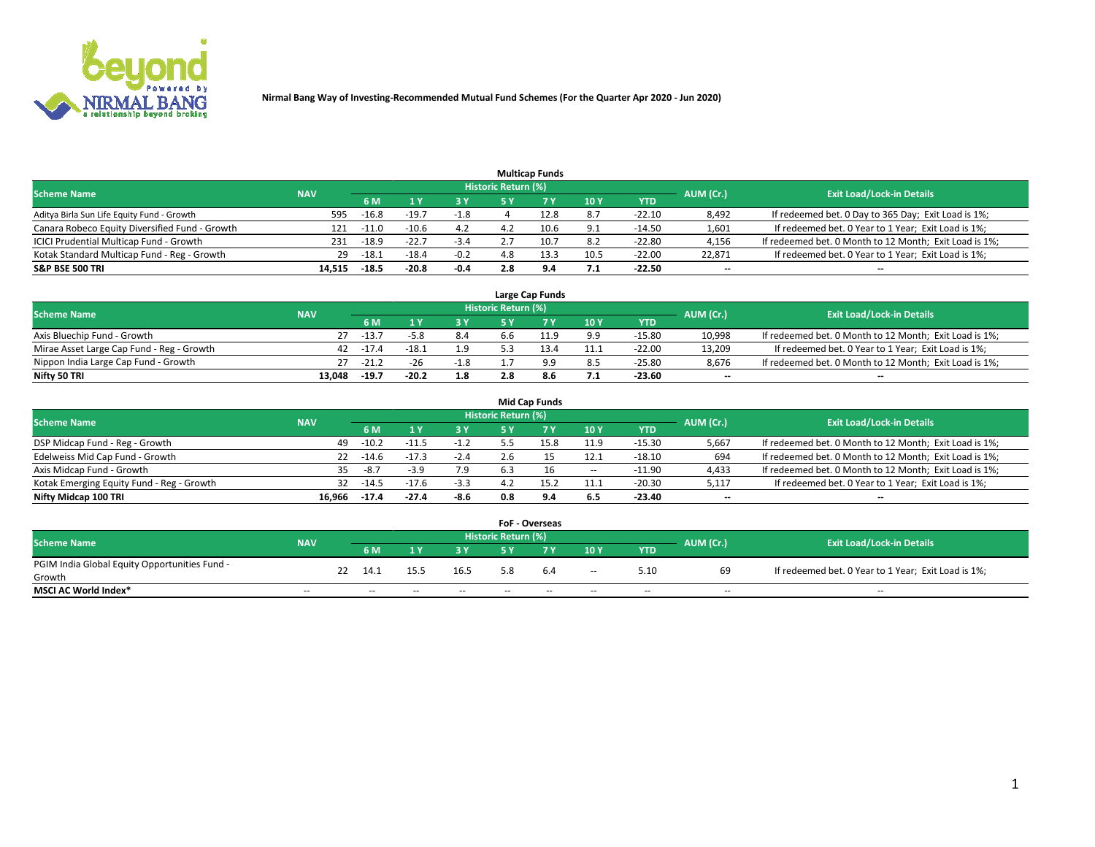

|                                                |            |         |         |        |                     | <b>Multicap Funds</b> |      |          |                          |                                                        |
|------------------------------------------------|------------|---------|---------|--------|---------------------|-----------------------|------|----------|--------------------------|--------------------------------------------------------|
| <b>Scheme Name</b>                             | <b>NAV</b> |         |         |        | Historic Return (%) |                       |      |          | AUM (Cr.)                | <b>Exit Load/Lock-in Details</b>                       |
|                                                |            | 6 M     |         | 73 Y   | 5 ۷                 |                       | 10 Y | YTD      |                          |                                                        |
| Aditya Birla Sun Life Equity Fund - Growth     | 595        | $-16.8$ | $-19.7$ | $-1.8$ |                     | 12.8                  | 8.7  | $-22.10$ | 8,492                    | If redeemed bet. 0 Day to 365 Day; Exit Load is 1%;    |
| Canara Robeco Equity Diversified Fund - Growth | 121        | $-11.0$ | $-10.6$ | 4.2    | 4.2                 | 10.6                  | 9.1  | $-14.50$ | 1,601                    | If redeemed bet. 0 Year to 1 Year; Exit Load is 1%;    |
| ICICI Prudential Multicap Fund - Growth        | 231        | $-18.9$ | $-22.7$ | $-3.4$ |                     |                       | 8.2  | $-22.80$ | 4,156                    | If redeemed bet. 0 Month to 12 Month; Exit Load is 1%; |
| Kotak Standard Multicap Fund - Reg - Growth    | 29         | $-18.1$ | $-18.4$ | $-0.2$ | 4.8                 |                       | 10.5 | $-22.00$ | 22.871                   | If redeemed bet. 0 Year to 1 Year; Exit Load is 1%;    |
| <b>S&amp;P BSE 500 TRI</b>                     | 14.515     | $-18.5$ | $-20.8$ | $-0.4$ | 2.8                 | 9.4                   | 7.1  | $-22.50$ | $\overline{\phantom{a}}$ | --                                                     |

|                                           |            |         |         |        |                     | Large Cap Funds |      |            |           |                                                        |
|-------------------------------------------|------------|---------|---------|--------|---------------------|-----------------|------|------------|-----------|--------------------------------------------------------|
| <b>Scheme Name</b>                        | <b>NAV</b> |         |         |        | Historic Return (%) |                 |      |            | AUM (Cr.) | <b>Exit Load/Lock-in Details</b>                       |
|                                           |            | 6 M     |         | 3 Y.   | 5 ٧                 |                 | 10Y  | <b>YTD</b> |           |                                                        |
| Axis Bluechip Fund - Growth               |            | $-13.7$ |         | 8.4    | ה.ל                 |                 | 9.9  | $-15.80$   | 10,998    | If redeemed bet. 0 Month to 12 Month; Exit Load is 1%; |
| Mirae Asset Large Cap Fund - Reg - Growth | 42         | $-17.4$ | $-18.1$ | 1.9    |                     | 13.4            | 11.1 | $-22.00$   | 13.209    | If redeemed bet. 0 Year to 1 Year; Exit Load is 1%;    |
| Nippon India Large Cap Fund - Growth      |            | $-21.2$ | $-26$   | $-1.8$ |                     | a a             | 8.5  | $-25.80$   | 8.676     | If redeemed bet. 0 Month to 12 Month; Exit Load is 1%; |
| Nifty 50 TRI                              | 13.048     | $-19.7$ | $-20.2$ | 1.8    |                     | 8.6             | 7.1  | -23.60     | $- -$     | $\overline{\phantom{a}}$                               |

|                                           |            |           |                                  |        |     | <b>Mid Cap Funds</b> |       |            |                          |                                                        |
|-------------------------------------------|------------|-----------|----------------------------------|--------|-----|----------------------|-------|------------|--------------------------|--------------------------------------------------------|
| <b>Scheme Name</b>                        | <b>NAV</b> | AUM (Cr.) | <b>Exit Load/Lock-in Details</b> |        |     |                      |       |            |                          |                                                        |
|                                           |            | 6 M       |                                  | 3V     | 5 Y |                      | 10 Y  | <b>YTD</b> |                          |                                                        |
| DSP Midcap Fund - Reg - Growth            | 49         | $-10.2$   | $-11.5$                          |        |     | 15.8                 | 11.9  | $-15.30$   | 5,667                    | If redeemed bet. 0 Month to 12 Month; Exit Load is 1%; |
| Edelweiss Mid Cap Fund - Growth           | 22         | $-14.6$   | $-17.3$                          | $-2.4$ |     |                      | 12.1  | $-18.10$   | 694                      | If redeemed bet. 0 Month to 12 Month; Exit Load is 1%; |
| Axis Midcap Fund - Growth                 | 35.        | $-8.7$    | $-3.9$                           | 7.9    | 6.3 |                      | $\!-$ | $-11.90$   | 4,433                    | If redeemed bet. 0 Month to 12 Month; Exit Load is 1%; |
| Kotak Emerging Equity Fund - Reg - Growth | 32         | $-14.5$   | $-17.6$                          | $-3.3$ |     | 15.2                 | 11.1  | $-20.30$   | 5,117                    | If redeemed bet. 0 Year to 1 Year; Exit Load is 1%;    |
| Nifty Midcap 100 TRI                      | 16.966     | $-17.4$   | $-27.4$                          | -8.6   | 0.8 | 9.4                  | 6.5   | -23.40     | $\overline{\phantom{m}}$ | $- -$                                                  |

|                                               |                          |    |        |       |       |                            | <b>FoF - Overseas</b> |                          |            |                          |                                                     |
|-----------------------------------------------|--------------------------|----|--------|-------|-------|----------------------------|-----------------------|--------------------------|------------|--------------------------|-----------------------------------------------------|
| <b>Scheme Name</b>                            | <b>NAV</b>               |    |        |       |       | <b>Historic Return (%)</b> |                       |                          |            | AUM (Cr.)                | <b>Exit Load/Lock-in Details</b>                    |
|                                               |                          |    | 6 M    |       | 2 V.  | E V                        |                       | 10Y                      | <b>YTD</b> |                          |                                                     |
| PGIM India Global Equity Opportunities Fund - |                          | 22 | 14.1   | 15.5  | 16.5  |                            | 6.4                   |                          | 5.10       | 69                       | If redeemed bet. 0 Year to 1 Year; Exit Load is 1%; |
| Growth                                        |                          |    |        |       |       |                            |                       | $\overline{\phantom{a}}$ |            |                          |                                                     |
| <b>MSCI AC World Index*</b>                   | $\overline{\phantom{a}}$ |    | $\sim$ | $- -$ | $- -$ | $\sim$                     | $- -$                 | $\overline{\phantom{a}}$ | $\sim$     | $\overline{\phantom{m}}$ | $\sim$                                              |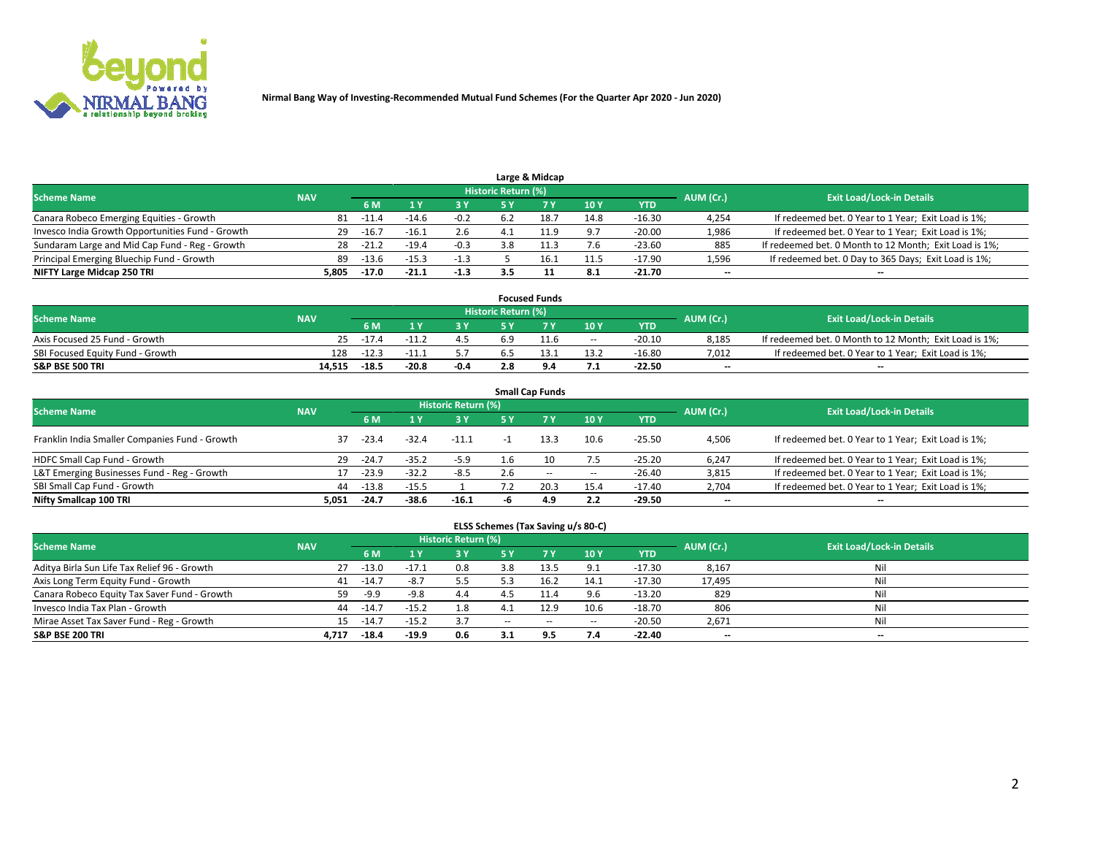

|                                                  |            |         |         |        |                     | Large & Midcap |      |            |           |                                                        |
|--------------------------------------------------|------------|---------|---------|--------|---------------------|----------------|------|------------|-----------|--------------------------------------------------------|
| <b>Scheme Name</b>                               | <b>NAV</b> |         |         |        | Historic Return (%) |                |      |            | AUM (Cr.) | <b>Exit Load/Lock-in Details</b>                       |
|                                                  |            | 6 M     |         | 3 Y    | 5٧                  |                | 10Y  | <b>YTD</b> |           |                                                        |
| Canara Robeco Emerging Equities - Growth         | 81         | -11.4   | $-14.6$ | $-0.2$ | 6.2                 |                | 14.8 | $-16.30$   | 4,254     | If redeemed bet. 0 Year to 1 Year; Exit Load is 1%;    |
| Invesco India Growth Opportunities Fund - Growth | 29         | $-16.7$ | $-16.1$ | 2.6    | 4.1                 | 11.9           | 9.7  | $-20.00$   | 1,986     | If redeemed bet. 0 Year to 1 Year; Exit Load is 1%;    |
| Sundaram Large and Mid Cap Fund - Reg - Growth   | 28         | $-21.4$ | $-19.4$ | $-0.3$ | 3.8                 | .              | 7.6  | $-23.60$   | 885       | If redeemed bet. 0 Month to 12 Month; Exit Load is 1%; |
| Principal Emerging Bluechip Fund - Growth        | 89         | $-13.6$ | $-15.3$ | $-1.3$ |                     |                | 11.5 | $-17.90$   | 1,596     | If redeemed bet. 0 Day to 365 Days; Exit Load is 1%;   |
| NIFTY Large Midcap 250 TRI                       | 5.805      | $-17.0$ | $-21.1$ | $-1.3$ | 3.5                 |                | 8.1  | $-21.70$   | $-$       | --                                                     |

|                                  |            |         |         |        |                     | <b>Focused Funds</b> |        |            |           |                                                        |
|----------------------------------|------------|---------|---------|--------|---------------------|----------------------|--------|------------|-----------|--------------------------------------------------------|
| <b>Scheme Name</b>               | <b>NAV</b> |         |         |        | Historic Return (%) |                      |        |            | AUM (Cr.) | <b>Exit Load/Lock-in Details</b>                       |
|                                  |            | 6 M     |         |        |                     |                      | 10Y    | <b>YTD</b> |           |                                                        |
| Axis Focused 25 Fund - Growth    | 25.        | $-17.4$ |         | 4.5    | b.9                 | 11.6                 | $\sim$ | $-20.10$   | 8.185     | If redeemed bet. 0 Month to 12 Month; Exit Load is 1%; |
| SBI Focused Equity Fund - Growth | 128        | $-12.3$ |         |        |                     |                      | 13.2   | $-16.80$   | 7.012     | If redeemed bet. 0 Year to 1 Year; Exit Load is 1%;    |
| <b>S&amp;P BSE 500 TRI</b>       | 14.515     | $-18.5$ | $-20.8$ | $-0.4$ | 2.8                 | ۰                    | 7.1    | -22.50     | $- -$     | $\overline{\phantom{a}}$                               |

| <b>Small Cap Funds</b>                         |            |                                  |         |         |     |           |       |            |                          |                                                     |  |  |  |
|------------------------------------------------|------------|----------------------------------|---------|---------|-----|-----------|-------|------------|--------------------------|-----------------------------------------------------|--|--|--|
| <b>Scheme Name</b>                             | AUM (Cr.)  | <b>Exit Load/Lock-in Details</b> |         |         |     |           |       |            |                          |                                                     |  |  |  |
|                                                | <b>NAV</b> | 6 M                              |         | 3 Y     | 5 Y | <b>7Y</b> | 10Y   | <b>YTD</b> |                          |                                                     |  |  |  |
| Franklin India Smaller Companies Fund - Growth | 37         | $-23.4$                          | $-32.4$ | $-11.1$ |     | 13.3      | 10.6  | $-25.50$   | 4,506                    | If redeemed bet. 0 Year to 1 Year; Exit Load is 1%; |  |  |  |
| HDFC Small Cap Fund - Growth                   | 29         | $-24.7$                          | $-35.2$ | $-5.9$  | 1.6 |           | 7.5   | $-25.20$   | 6,247                    | If redeemed bet. 0 Year to 1 Year; Exit Load is 1%; |  |  |  |
| L&T Emerging Businesses Fund - Reg - Growth    | 17         | $-23.9$                          | $-32.2$ | $-8.5$  | 2.6 | $- -$     | $\!-$ | $-26.40$   | 3,815                    | If redeemed bet. 0 Year to 1 Year; Exit Load is 1%; |  |  |  |
| SBI Small Cap Fund - Growth                    | 44         | $-13.8$                          | $-15.5$ |         |     | 20.3      | 15.4  | $-17.40$   | 2,704                    | If redeemed bet. 0 Year to 1 Year; Exit Load is 1%; |  |  |  |
| Nifty Smallcap 100 TRI                         | 5.051      | $-24.7$                          | $-38.6$ | $-16.1$ |     | 4.9       | 2.2   | -29.50     | $\overline{\phantom{a}}$ | --                                                  |  |  |  |

## **ELSS Schemes (Tax Saving u/s 80-C)**

| <b>Scheme Name</b>                           | <b>NAV</b> |         |         | <b>Historic Return (%)</b> |       |      |                          |            | AUM (Cr.) | <b>Exit Load/Lock-in Details</b> |
|----------------------------------------------|------------|---------|---------|----------------------------|-------|------|--------------------------|------------|-----------|----------------------------------|
|                                              |            | 6 M     |         | <b>3 Y</b>                 | 5 Y   |      | 10Y                      | <b>YTD</b> |           |                                  |
| Aditya Birla Sun Life Tax Relief 96 - Growth | 27         | $-13.0$ | $-17.1$ | 0.8                        | 3.8   | 13.5 | 9.1                      | $-17.30$   | 8,167     | Nil                              |
| Axis Long Term Equity Fund - Growth          | 41         | $-14.$  | $-8.7$  | 5.5                        |       | 16.2 | 14.1                     | -17.30     | 17,495    | Nil                              |
| Canara Robeco Equity Tax Saver Fund - Growth | 59         | -9.9    | -9.8    | 4.4                        |       | 11.4 | 9.6                      | $-13.20$   | 829       | Nil                              |
| Invesco India Tax Plan - Growth              | 44         | $-14.7$ | $-15.2$ | 1.8                        | 4.1   | 12.9 | 10.6                     | $-18.70$   | 806       | Nil                              |
| Mirae Asset Tax Saver Fund - Reg - Growth    | 15         | $-14.7$ | $-15.2$ | 3.7                        | $- -$ | $-$  | $\overline{\phantom{a}}$ | $-20.50$   | 2,671     | Nil                              |
| <b>S&amp;P BSE 200 TRI</b>                   | 4.717      | $-18.4$ | $-19.9$ | 0.6                        |       | 9.5  | 7.4                      | $-22.40$   | $- -$     | $-$                              |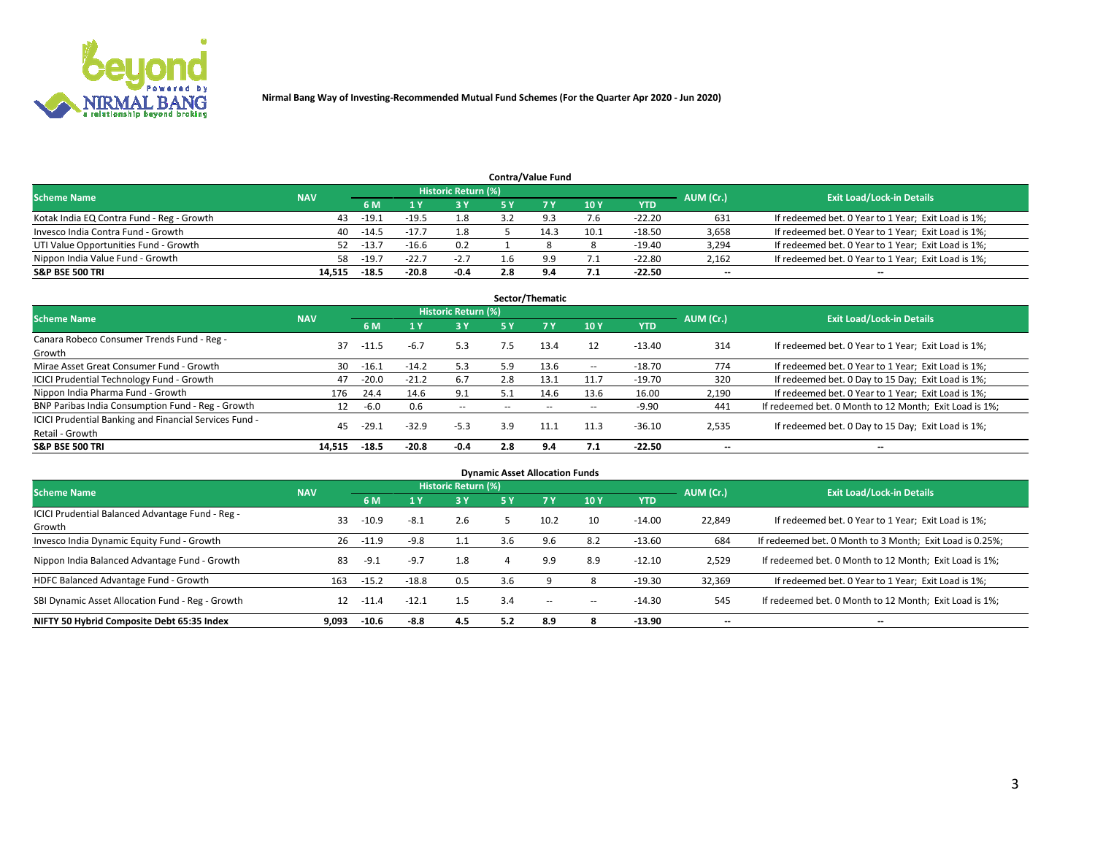

|                                           |            |                                  |         |        |     | <b>Contra/Value Fund</b> |      |            |       |                                                     |
|-------------------------------------------|------------|----------------------------------|---------|--------|-----|--------------------------|------|------------|-------|-----------------------------------------------------|
| <b>Scheme Name</b>                        | AUM (Cr.)  | <b>Exit Load/Lock-in Details</b> |         |        |     |                          |      |            |       |                                                     |
|                                           | <b>NAV</b> | 6 M                              |         | 3 Y    |     |                          | 10Y  | <b>YTD</b> |       |                                                     |
| Kotak India EQ Contra Fund - Reg - Growth | 43         | $-19.1$                          | $-19.5$ | 1.8    |     | Q 3                      | 7.6  | $-22.20$   | 631   | If redeemed bet. 0 Year to 1 Year; Exit Load is 1%; |
| Invesco India Contra Fund - Growth        | 40         | $-14.5$                          |         |        |     |                          | 10.1 | $-18.50$   | 3,658 | If redeemed bet. 0 Year to 1 Year; Exit Load is 1%; |
| UTI Value Opportunities Fund - Growth     | 52         | $-13.7$                          | $-16.6$ | 0.2    |     |                          |      | $-19.40$   | 3,294 | If redeemed bet. 0 Year to 1 Year; Exit Load is 1%; |
| Nippon India Value Fund - Growth          | 58         | $-19.7$                          | $-22.7$ | $-2.7$ |     | 9.9                      | 7.1  | $-22.80$   | 2,162 | If redeemed bet. 0 Year to 1 Year; Exit Load is 1%; |
| <b>S&amp;P BSE 500 TRI</b>                | 14,515     | $-18.5$                          | $-20.8$ | -0.4   | 2.8 | 9.4                      | 7.1  | $-22.50$   | $- -$ | $-$                                                 |

| Sector/Thematic                                                           |            |         |         |                     |                          |                          |                          |          |                          |                                                        |  |  |  |
|---------------------------------------------------------------------------|------------|---------|---------|---------------------|--------------------------|--------------------------|--------------------------|----------|--------------------------|--------------------------------------------------------|--|--|--|
| <b>Scheme Name</b>                                                        | <b>NAV</b> |         |         | Historic Return (%) |                          |                          |                          |          | AUM (Cr.)                | <b>Exit Load/Lock-in Details</b>                       |  |  |  |
|                                                                           |            | 6 M     |         | <b>3Y</b>           | 5 Y                      | 7Y                       | 10Y                      | YTD      |                          |                                                        |  |  |  |
| Canara Robeco Consumer Trends Fund - Reg -<br>Growth                      | 37         | $-11.5$ | $-6.7$  | 5.3                 | 7.5                      | 13.4                     | 12                       | $-13.40$ | 314                      | If redeemed bet. 0 Year to 1 Year; Exit Load is 1%;    |  |  |  |
| Mirae Asset Great Consumer Fund - Growth                                  | 30         | $-16.1$ | $-14.2$ | 5.3                 | 5.9                      | 13.6                     | $\hspace{0.05cm} \cdots$ | $-18.70$ | 774                      | If redeemed bet. 0 Year to 1 Year; Exit Load is 1%;    |  |  |  |
| <b>ICICI Prudential Technology Fund - Growth</b>                          | 47         | $-20.0$ | $-21.2$ | 6.7                 | 2.8                      | 13.1                     | 11.7                     | $-19.70$ | 320                      | If redeemed bet. 0 Day to 15 Day; Exit Load is 1%;     |  |  |  |
| Nippon India Pharma Fund - Growth                                         | 176        | 24.4    | 14.6    | 9.1                 | 5.1                      | 14.6                     | 13.6                     | 16.00    | 2,190                    | If redeemed bet. 0 Year to 1 Year; Exit Load is 1%;    |  |  |  |
| BNP Paribas India Consumption Fund - Reg - Growth                         | 12         | -6.0    | 0.6     | $\sim$ $-$          | $\overline{\phantom{a}}$ | $\overline{\phantom{a}}$ | $\overline{\phantom{a}}$ | $-9.90$  | 441                      | If redeemed bet. 0 Month to 12 Month; Exit Load is 1%; |  |  |  |
| ICICI Prudential Banking and Financial Services Fund -<br>Retail - Growth | 45         | $-29.1$ | $-32.9$ | $-5.3$              | 3.9                      | 11.1                     | 11.3                     | $-36.10$ | 2,535                    | If redeemed bet. 0 Day to 15 Day; Exit Load is 1%;     |  |  |  |
| <b>S&amp;P BSE 500 TRI</b>                                                | 14.515     | $-18.5$ | $-20.8$ | $-0.4$              | 2.8                      | 9.4                      | 7.1                      | $-22.50$ | $\overline{\phantom{a}}$ | --                                                     |  |  |  |

| <b>Dynamic Asset Allocation Funds</b>                      |            |         |         |                            |     |                          |            |            |                          |                                                          |  |  |  |
|------------------------------------------------------------|------------|---------|---------|----------------------------|-----|--------------------------|------------|------------|--------------------------|----------------------------------------------------------|--|--|--|
| <b>Scheme Name</b>                                         | <b>NAV</b> |         |         | <b>Historic Return (%)</b> |     |                          |            |            | AUM (Cr.)                | <b>Exit Load/Lock-in Details</b>                         |  |  |  |
|                                                            |            | 6 M     |         | $-3Y$                      | 5 Y | <b>7Y</b>                | <b>10Y</b> | <b>YTD</b> |                          |                                                          |  |  |  |
| ICICI Prudential Balanced Advantage Fund - Reg -<br>Growth | 33         | $-10.9$ | $-8.1$  | 2.6                        |     | 10.2                     | 10         | $-14.00$   | 22,849                   | If redeemed bet. 0 Year to 1 Year; Exit Load is 1%;      |  |  |  |
| Invesco India Dynamic Equity Fund - Growth                 | 26         | $-11.9$ | $-9.8$  | 1.1                        | 3.6 | 9.6                      | 8.2        | $-13.60$   | 684                      | If redeemed bet. 0 Month to 3 Month; Exit Load is 0.25%; |  |  |  |
| Nippon India Balanced Advantage Fund - Growth              | 83         | $-9.1$  | $-9.7$  | 1.8                        |     | 9.9                      | 8.9        | $-12.10$   | 2,529                    | If redeemed bet. 0 Month to 12 Month; Exit Load is 1%;   |  |  |  |
| HDFC Balanced Advantage Fund - Growth                      | 163        | $-15.2$ | $-18.8$ | 0.5                        | 3.6 |                          |            | $-19.30$   | 32,369                   | If redeemed bet. 0 Year to 1 Year; Exit Load is 1%;      |  |  |  |
| SBI Dynamic Asset Allocation Fund - Reg - Growth           | 12         | $-11.4$ | $-12.1$ | 1.5                        | 3.4 | $\overline{\phantom{a}}$ | -          | $-14.30$   | 545                      | If redeemed bet. 0 Month to 12 Month; Exit Load is 1%;   |  |  |  |
| NIFTY 50 Hybrid Composite Debt 65:35 Index                 | 9,093      | $-10.6$ | -8.8    | 4.5                        | 5.2 | 8.9                      |            | -13.90     | $\overline{\phantom{a}}$ | --                                                       |  |  |  |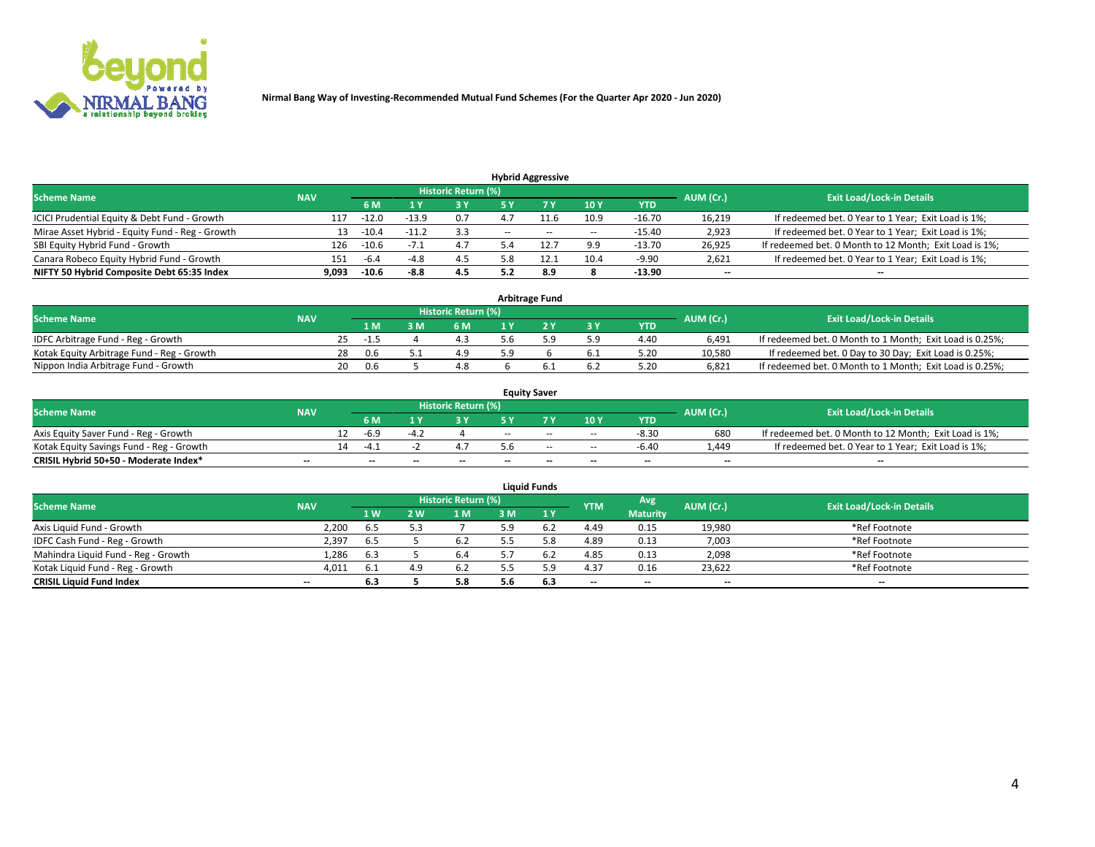

|                                                 |            |                                  |         |            |       | <b>Hybrid Aggressive</b> |                          |            |                          |                                                        |
|-------------------------------------------------|------------|----------------------------------|---------|------------|-------|--------------------------|--------------------------|------------|--------------------------|--------------------------------------------------------|
| <b>Scheme Name</b>                              | AUM (Cr.)  | <b>Exit Load/Lock-in Details</b> |         |            |       |                          |                          |            |                          |                                                        |
|                                                 | <b>NAV</b> | 6 M                              |         | <b>3 Y</b> |       |                          | 10Y                      | <b>YTD</b> |                          |                                                        |
| ICICI Prudential Equity & Debt Fund - Growth    | 117        | $-12.0$                          | $-13.9$ | 0.7        |       |                          | 10.9                     | $-16.70$   | 16,219                   | If redeemed bet. 0 Year to 1 Year; Exit Load is 1%;    |
| Mirae Asset Hybrid - Equity Fund - Reg - Growth | 13         | $-10.4$                          | $-11.2$ | 3.3        | $- -$ | $\sim$                   | $\overline{\phantom{a}}$ | $-15.40$   | 2,923                    | If redeemed bet. 0 Year to 1 Year; Exit Load is 1%;    |
| SBI Equity Hybrid Fund - Growth                 | 126        | $-10.6$                          |         | 4.7        |       |                          | 9.9                      | $-13.70$   | 26.925                   | If redeemed bet. 0 Month to 12 Month; Exit Load is 1%; |
| Canara Robeco Equity Hybrid Fund - Growth       | 151        | -6.4                             | -47     | 4.5        |       |                          | 10.4                     | $-9.90$    | 2,621                    | If redeemed bet. 0 Year to 1 Year; Exit Load is 1%;    |
| NIFTY 50 Hybrid Composite Debt 65:35 Index      | 9,093      | $-10.6$                          | -8.8    | 4.5        | J.L   | 8.9                      |                          | $-13.90$   | $\overline{\phantom{a}}$ | --                                                     |

| <b>Arbitrage Fund</b>                      |            |     |        |  |                     |  |  |     |            |           |                                                          |  |  |
|--------------------------------------------|------------|-----|--------|--|---------------------|--|--|-----|------------|-----------|----------------------------------------------------------|--|--|
| <b>Scheme Name</b>                         | <b>NAV</b> |     |        |  | Historic Return (%) |  |  |     |            | AUM (Cr.) | <b>Exit Load/Lock-in Details</b>                         |  |  |
|                                            |            |     | 1 M    |  | 6 M                 |  |  | 3 Y | <b>YTD</b> |           |                                                          |  |  |
| IDFC Arbitrage Fund - Reg - Growth         |            | 25. | $-1.5$ |  |                     |  |  | 5.9 | 4.40       | 6.491     | If redeemed bet. 0 Month to 1 Month; Exit Load is 0.25%; |  |  |
| Kotak Equity Arbitrage Fund - Reg - Growth |            | 28  | 0.6    |  | 4.9                 |  |  | 6.1 | 5.20       | 10.580    | If redeemed bet. 0 Day to 30 Day; Exit Load is 0.25%;    |  |  |
| Nippon India Arbitrage Fund - Growth       |            | 20  | 0.6    |  | 4.8                 |  |  | 6.2 | 5.20       | 6.821     | If redeemed bet. 0 Month to 1 Month; Exit Load is 0.25%; |  |  |

| <b>Equity Saver</b>                      |                          |    |                          |       |                     |     |                          |                          |                          |           |                                                        |  |  |  |
|------------------------------------------|--------------------------|----|--------------------------|-------|---------------------|-----|--------------------------|--------------------------|--------------------------|-----------|--------------------------------------------------------|--|--|--|
| <b>Scheme Name</b>                       | <b>NAV</b>               |    |                          |       | Historic Return (%) |     |                          |                          |                          | AUM (Cr.) | <b>Exit Load/Lock-in Details</b>                       |  |  |  |
|                                          |                          |    | 6 M                      |       |                     |     |                          | 10Y                      | <b>YTD</b>               |           |                                                        |  |  |  |
| Axis Equity Saver Fund - Reg - Growth    |                          |    | -h. 4                    |       |                     | $-$ | $-$                      | $\sim$                   | $-8.30$                  | 680       | If redeemed bet. 0 Month to 12 Month; Exit Load is 1%; |  |  |  |
| Kotak Equity Savings Fund - Reg - Growth |                          | 14 | -4 °                     |       |                     |     | $-$                      | $\sim$                   | -6.40                    | .449      | If redeemed bet. 0 Year to 1 Year; Exit Load is 1%;    |  |  |  |
| CRISIL Hybrid 50+50 - Moderate Index*    | $\overline{\phantom{a}}$ |    | $\overline{\phantom{a}}$ | $- -$ | $-$                 | $-$ | $\overline{\phantom{a}}$ | $\overline{\phantom{a}}$ | $\overline{\phantom{a}}$ | $- -$     | $\overline{\phantom{a}}$                               |  |  |  |

| <b>Liquid Funds</b>                 |            |            |       |                            |     |     |            |                 |           |                                  |  |  |  |
|-------------------------------------|------------|------------|-------|----------------------------|-----|-----|------------|-----------------|-----------|----------------------------------|--|--|--|
| <b>Scheme Name</b>                  | <b>NAV</b> |            |       | <b>Historic Return (%)</b> |     |     | <b>YTM</b> | Avg             | AUM (Cr.) | <b>Exit Load/Lock-in Details</b> |  |  |  |
|                                     |            | <b>1 W</b> | ואי י | 1 M                        | з м | 1Y  |            | <b>Maturity</b> |           |                                  |  |  |  |
| Axis Liquid Fund - Growth           | 2.200      | 6.5        |       |                            |     | b.2 | 4.49       | 0.15            | 19,980    | *Ref Footnote                    |  |  |  |
| IDFC Cash Fund - Reg - Growth       | 2,397      | -6.5       |       | 6.2                        |     |     | 4.89       | 0.13            | 7,003     | *Ref Footnote                    |  |  |  |
| Mahindra Liquid Fund - Reg - Growth | 1,286      | 6.3        |       | 6.4                        |     |     | 4.85       | 0.13            | 2,098     | *Ref Footnote                    |  |  |  |
| Kotak Liquid Fund - Reg - Growth    | 4,011      | -6.1       | 4.9   | 6.2                        | _ _ |     | 4.37       | 0.16            | 23,622    | *Ref Footnote                    |  |  |  |
| <b>CRISIL Liquid Fund Index</b>     | $- -$      | 6.3        |       | 5.8                        | 5.6 | 6.3 | $- -$      | $- -$           | $- -$     | $-$                              |  |  |  |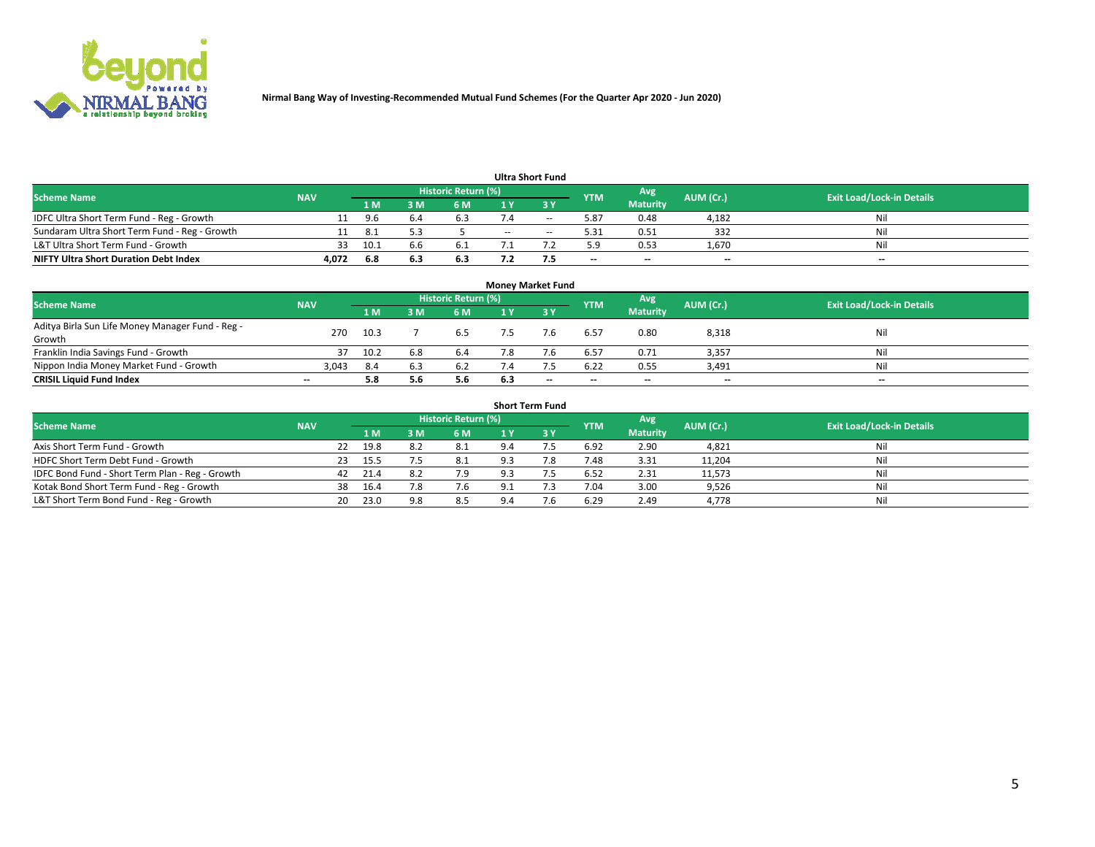

|                                               |            |     |     |                     |     | <b>Ultra Short Fund</b> |                          |                          |                          |                                  |
|-----------------------------------------------|------------|-----|-----|---------------------|-----|-------------------------|--------------------------|--------------------------|--------------------------|----------------------------------|
| <b>Scheme Name</b>                            | <b>NAV</b> |     |     | Historic Return (%) |     |                         | <b>YTM</b>               | Avg                      | AUM (Cr.)                | <b>Exit Load/Lock-in Details</b> |
|                                               |            | 1 M |     | 6 M                 |     | ע כ                     |                          | <b>Maturity</b>          |                          |                                  |
| IDFC Ultra Short Term Fund - Reg - Growth     |            |     |     | 6.3                 |     | $\sim$                  | 5.87                     | 0.48                     | 4,182                    | Nil                              |
| Sundaram Ultra Short Term Fund - Reg - Growth |            | د.8 |     |                     | $-$ | $\sim$                  | 5.31                     | 0.51                     | 332                      | Nil                              |
| L&T Ultra Short Term Fund - Growth            | 33         | 10. |     | 6.1                 |     |                         | 5.9                      | 0.53                     | 1,670                    | Nil                              |
| <b>NIFTY Ultra Short Duration Debt Index</b>  | 4,072      | 6.8 | 6.3 | 6.3                 |     |                         | $\overline{\phantom{a}}$ | $\overline{\phantom{a}}$ | $\overline{\phantom{a}}$ | $- -$                            |

| <b>Money Market Fund</b>                         |            |      |     |                            |     |                          |                          |                 |           |                                  |  |  |  |  |
|--------------------------------------------------|------------|------|-----|----------------------------|-----|--------------------------|--------------------------|-----------------|-----------|----------------------------------|--|--|--|--|
| <b>Scheme Name</b>                               | <b>NAV</b> |      |     | <b>Historic Return (%)</b> |     |                          | <b>YTM</b>               | Avg             | AUM (Cr.) | <b>Exit Load/Lock-in Details</b> |  |  |  |  |
|                                                  |            | 1 M  | ١M  | 6 M                        |     | 3 Y                      |                          | <b>Maturity</b> |           |                                  |  |  |  |  |
| Aditya Birla Sun Life Money Manager Fund - Reg - | 270        | 10.3 |     | 6.5                        |     |                          | 6.57                     | 0.80            | 8,318     | Nil                              |  |  |  |  |
| Growth                                           |            |      |     |                            |     |                          |                          |                 |           |                                  |  |  |  |  |
| Franklin India Savings Fund - Growth             | 37         | 10.2 | 6.8 | 6.4                        |     |                          | 6.57                     | 0.71            | 3,357     | Nil                              |  |  |  |  |
| Nippon India Money Market Fund - Growth          | 3,043      | 8.4  |     | 6.2                        |     |                          | 6.22                     | 0.55            | 3,491     | Nil                              |  |  |  |  |
| <b>CRISIL Liquid Fund Index</b>                  | $- -$      | 5.8  |     | 5.6                        | 6.3 | $\overline{\phantom{a}}$ | $\overline{\phantom{a}}$ | $- -$           | $- -$     | $-$                              |  |  |  |  |

| <b>Short Term Fund</b>                          |            |    |      |     |                     |             |            |            |                 |           |                                  |  |  |
|-------------------------------------------------|------------|----|------|-----|---------------------|-------------|------------|------------|-----------------|-----------|----------------------------------|--|--|
| <b>Scheme Name</b>                              | <b>NAV</b> |    |      |     | Historic Return (%) |             |            | <b>YTM</b> | Avg             | AUM (Cr.) | <b>Exit Load/Lock-in Details</b> |  |  |
|                                                 |            |    | 1 M  | 3M  | 6 M                 |             | <b>ZBV</b> |            | <b>Maturity</b> |           |                                  |  |  |
| Axis Short Term Fund - Growth                   |            | 22 | 19.8 | 8.2 | 8.1                 | 9.4         |            | 6.92       | 2.90            | 4,821     | Nil                              |  |  |
| HDFC Short Term Debt Fund - Growth              |            | 23 | 15.5 |     | 8.1                 | 9.3         | 7.8        | 7.48       | 3.31            | 11,204    | Nil                              |  |  |
| IDFC Bond Fund - Short Term Plan - Reg - Growth |            | 42 | 21.4 | 8.2 | 7.9                 | 9.3         |            | 6.52       | 2.31            | 11,573    | Nil                              |  |  |
| Kotak Bond Short Term Fund - Reg - Growth       |            | 38 | 16.4 | 7.8 | 7.6                 | 9.1         |            | 7.04       | 3.00            | 9,526     | Nil                              |  |  |
| L&T Short Term Bond Fund - Reg - Growth         |            | 20 | 23.0 | 9.8 | 8.5                 | $Q \Lambda$ | 7.6        | 6.29       | 2.49            | 4,778     | Nil                              |  |  |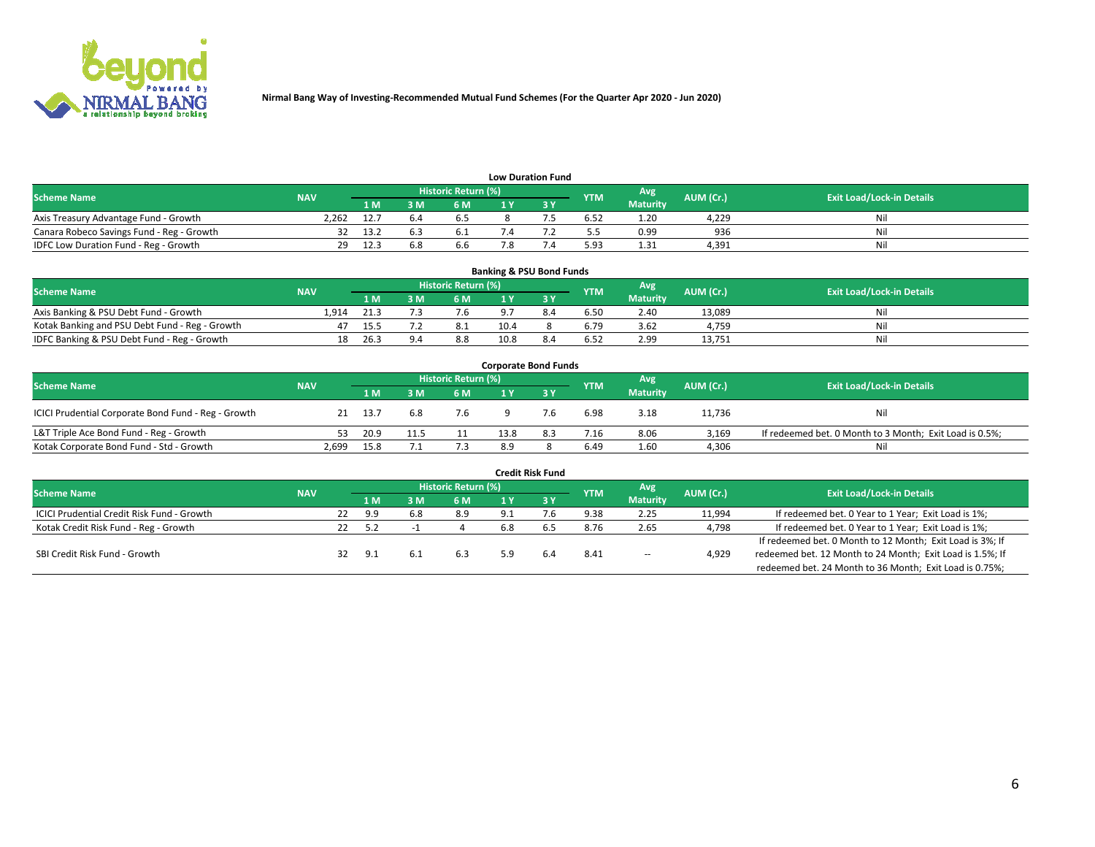

| <b>Low Duration Fund</b>                  |            |      |     |                     |  |  |            |                 |           |                                  |  |  |  |  |
|-------------------------------------------|------------|------|-----|---------------------|--|--|------------|-----------------|-----------|----------------------------------|--|--|--|--|
| <b>Scheme Name</b>                        | <b>NAV</b> |      |     | Historic Return (%) |  |  | <b>YTM</b> | Avg             | AUM (Cr.) | <b>Exit Load/Lock-in Details</b> |  |  |  |  |
|                                           |            | 1 M  | ៵៳  | 6 M                 |  |  |            | <b>Maturity</b> |           |                                  |  |  |  |  |
| Axis Treasury Advantage Fund - Growth     | 2.262      | 12.  | −b. | b.5                 |  |  | 6.52       | 1.20            | 4.229     | Nil                              |  |  |  |  |
| Canara Robeco Savings Fund - Reg - Growth |            | 13.3 |     |                     |  |  | 5.5        | 0.99            | 936       | Nil                              |  |  |  |  |
| IDFC Low Duration Fund - Reg - Growth     | 29         | 12.5 | 6.8 | b.b                 |  |  | 5.93       | 1.31            | 4,391     | Nil                              |  |  |  |  |

| <b>Banking &amp; PSU Bond Funds</b>            |            |      |     |                            |      |     |            |                 |           |                                  |  |  |  |  |
|------------------------------------------------|------------|------|-----|----------------------------|------|-----|------------|-----------------|-----------|----------------------------------|--|--|--|--|
| <b>Scheme Name</b>                             | <b>NAV</b> |      |     | <b>Historic Return (%)</b> |      |     | <b>YTM</b> | Avg             | AUM (Cr.) | <b>Exit Load/Lock-in Details</b> |  |  |  |  |
|                                                |            | 1 M. | 8 M | 6 M                        |      |     |            | <b>Maturity</b> |           |                                  |  |  |  |  |
| Axis Banking & PSU Debt Fund - Growth          | L.914      | 21.3 |     | 7.6                        |      |     | 6.50       | 2.40            | 13.089    | Ni                               |  |  |  |  |
| Kotak Banking and PSU Debt Fund - Reg - Growth | 47         | 15.5 |     |                            | 10.4 |     | 6.79       | 3.62            | 4.759     | Ni                               |  |  |  |  |
| IDFC Banking & PSU Debt Fund - Reg - Growth    | 18         | 26.3 | 9.4 | 8.8                        | 10.8 | 8.4 | 6.52       | 2.99            | 13,751    | Ni                               |  |  |  |  |

| <b>Corporate Bond Funds</b>                         |            |      |      |                     |      |     |            |                 |           |                                                         |  |  |  |  |
|-----------------------------------------------------|------------|------|------|---------------------|------|-----|------------|-----------------|-----------|---------------------------------------------------------|--|--|--|--|
| <b>Scheme Name</b>                                  | <b>NAV</b> |      |      | Historic Return (%) |      |     | <b>YTM</b> | Avg             | AUM (Cr.) | <b>Exit Load/Lock-in Details</b>                        |  |  |  |  |
|                                                     |            | 1 M. | 3 M  | 6 M                 |      |     |            | <b>Maturity</b> |           |                                                         |  |  |  |  |
| ICICI Prudential Corporate Bond Fund - Reg - Growth | 21         | 13.7 | 6.8  | 7.6                 |      | 7.6 | 6.98       | 3.18            | 11,736    | Nil                                                     |  |  |  |  |
| L&T Triple Ace Bond Fund - Reg - Growth             | 53         | 20.9 | 11.5 | 11                  | 13.8 | 8.3 | 7.16       | 8.06            | 3.169     | If redeemed bet. 0 Month to 3 Month; Exit Load is 0.5%; |  |  |  |  |
| Kotak Corporate Bond Fund - Std - Growth            | 2,699      | 15.8 |      | 7.3                 | 8.9  |     | 6.49       | 1.60            | 4,306     | Nil                                                     |  |  |  |  |

| <b>Credit Risk Fund</b>                    |            |    |     |     |                     |     |      |            |                 |           |                                                           |  |  |
|--------------------------------------------|------------|----|-----|-----|---------------------|-----|------|------------|-----------------|-----------|-----------------------------------------------------------|--|--|
| <b>Scheme Name</b>                         | <b>NAV</b> |    |     |     | Historic Return (%) |     |      | <b>YTM</b> | Avg             | AUM (Cr.) | <b>Exit Load/Lock-in Details</b>                          |  |  |
|                                            |            |    | 1 M |     | <b>6 M</b>          |     | -3 Y |            | <b>Maturity</b> |           |                                                           |  |  |
| ICICI Prudential Credit Risk Fund - Growth |            | 22 | 9.9 | 6.8 | 8.9                 | 9.1 |      | 9.38       | 2.25            | 11,994    | If redeemed bet. 0 Year to 1 Year; Exit Load is 1%;       |  |  |
| Kotak Credit Risk Fund - Reg - Growth      |            | 22 | 5.2 |     |                     | 6.8 |      | 8.76       | 2.65            | 4,798     | If redeemed bet. 0 Year to 1 Year; Exit Load is 1%;       |  |  |
|                                            |            |    |     |     |                     |     |      |            |                 |           | If redeemed bet. 0 Month to 12 Month; Exit Load is 3%; If |  |  |
| SBI Credit Risk Fund - Growth              |            | 32 | 9.1 |     | 6.3                 | 59  | 6.4  | 8.41       | $\sim$          | 4,929     | redeemed bet. 12 Month to 24 Month; Exit Load is 1.5%; If |  |  |
|                                            |            |    |     |     |                     |     |      |            |                 |           | redeemed bet. 24 Month to 36 Month; Exit Load is 0.75%;   |  |  |